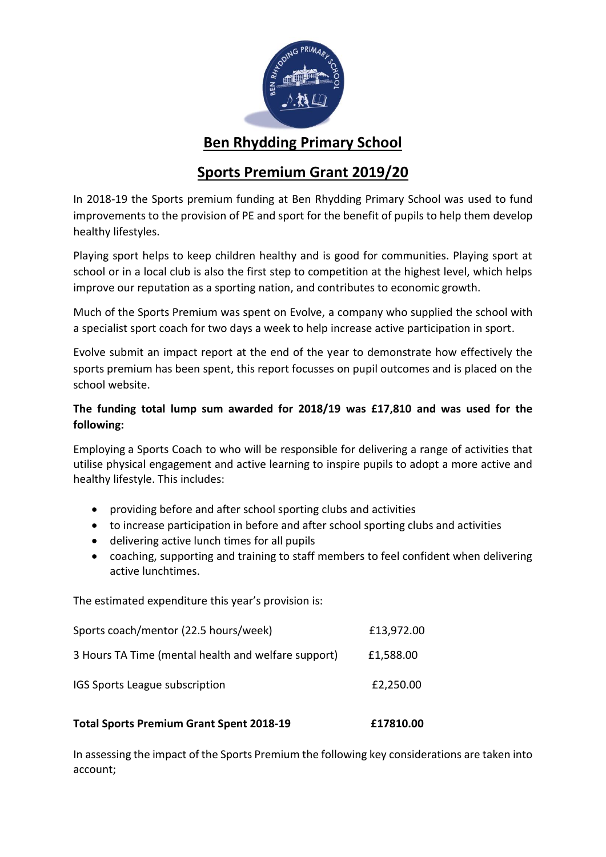

## **Ben Rhydding Primary School**

# **Sports Premium Grant 2019/20**

In 2018-19 the Sports premium funding at Ben Rhydding Primary School was used to fund improvements to the provision of PE and sport for the benefit of pupils to help them develop healthy lifestyles.

Playing sport helps to keep children healthy and is good for communities. Playing sport at school or in a local club is also the first step to competition at the highest level, which helps improve our reputation as a sporting nation, and contributes to economic growth.

Much of the Sports Premium was spent on Evolve, a company who supplied the school with a specialist sport coach for two days a week to help increase active participation in sport.

Evolve submit an impact report at the end of the year to demonstrate how effectively the sports premium has been spent, this report focusses on pupil outcomes and is placed on the school website.

## **The funding total lump sum awarded for 2018/19 was £17,810 and was used for the following:**

Employing a Sports Coach to who will be responsible for delivering a range of activities that utilise physical engagement and active learning to inspire pupils to adopt a more active and healthy lifestyle. This includes:

- providing before and after school sporting clubs and activities
- to increase participation in before and after school sporting clubs and activities
- delivering active lunch times for all pupils
- coaching, supporting and training to staff members to feel confident when delivering active lunchtimes.

The estimated expenditure this year's provision is:

| <b>Total Sports Premium Grant Spent 2018-19</b>     | £17810.00  |
|-----------------------------------------------------|------------|
| IGS Sports League subscription                      | £2,250.00  |
| 3 Hours TA Time (mental health and welfare support) | £1,588.00  |
| Sports coach/mentor (22.5 hours/week)               | £13,972.00 |

In assessing the impact of the Sports Premium the following key considerations are taken into account;